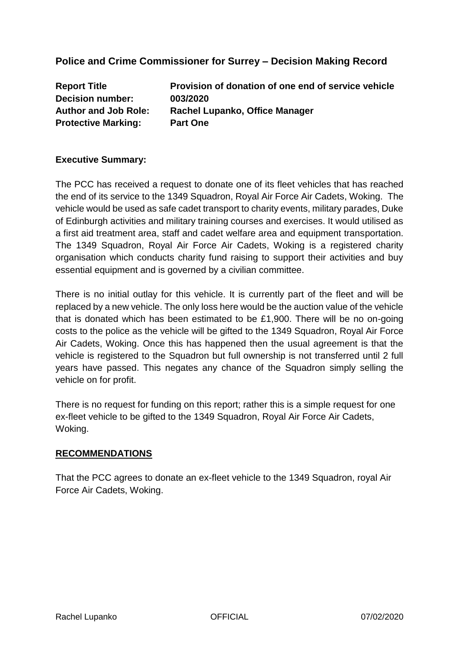# **Police and Crime Commissioner for Surrey – Decision Making Record**

**Decision number: 003/2020 Protective Marking: Part One** 

**Report Title Provision of donation of one end of service vehicle Author and Job Role: Rachel Lupanko, Office Manager**

### **Executive Summary:**

The PCC has received a request to donate one of its fleet vehicles that has reached the end of its service to the 1349 Squadron, Royal Air Force Air Cadets, Woking. The vehicle would be used as safe cadet transport to charity events, military parades, Duke of Edinburgh activities and military training courses and exercises. It would utilised as a first aid treatment area, staff and cadet welfare area and equipment transportation. The 1349 Squadron, Royal Air Force Air Cadets, Woking is a registered charity organisation which conducts charity fund raising to support their activities and buy essential equipment and is governed by a civilian committee.

There is no initial outlay for this vehicle. It is currently part of the fleet and will be replaced by a new vehicle. The only loss here would be the auction value of the vehicle that is donated which has been estimated to be £1,900. There will be no on-going costs to the police as the vehicle will be gifted to the 1349 Squadron, Royal Air Force Air Cadets, Woking. Once this has happened then the usual agreement is that the vehicle is registered to the Squadron but full ownership is not transferred until 2 full years have passed. This negates any chance of the Squadron simply selling the vehicle on for profit.

There is no request for funding on this report; rather this is a simple request for one ex-fleet vehicle to be gifted to the 1349 Squadron, Royal Air Force Air Cadets, Woking.

#### **RECOMMENDATIONS**

That the PCC agrees to donate an ex-fleet vehicle to the 1349 Squadron, royal Air Force Air Cadets, Woking.